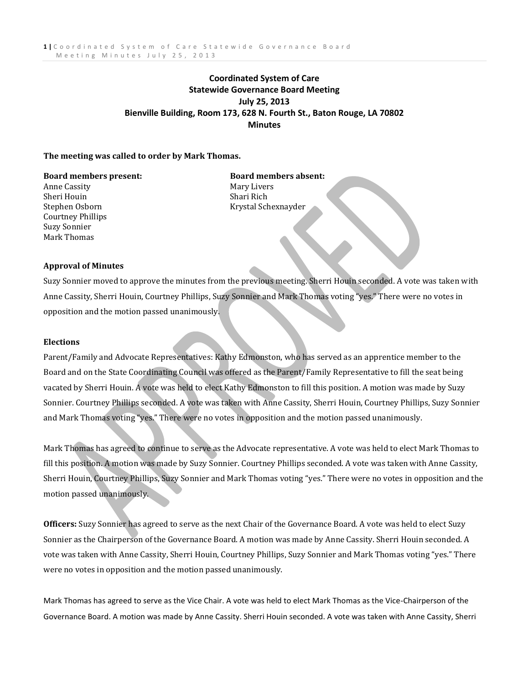# **Coordinated System of Care Statewide Governance Board Meeting July 25, 2013 Bienville Building, Room 173, 628 N. Fourth St., Baton Rouge, LA 70802 Minutes**

# **The meeting was called to order by Mark Thomas.**

Anne Cassity **Mary Livers** Mary Livers Sheri Houin Shari Rich Courtney Phillips Suzy Sonnier Mark Thomas

**Board members present: Board members absent:** Stephen Osborn Krystal Schexnayder

# **Approval of Minutes**

Suzy Sonnier moved to approve the minutes from the previous meeting. Sherri Houin seconded. A vote was taken with Anne Cassity, Sherri Houin, Courtney Phillips, Suzy Sonnier and Mark Thomas voting "yes." There were no votes in opposition and the motion passed unanimously.

# **Elections**

Parent/Family and Advocate Representatives: Kathy Edmonston, who has served as an apprentice member to the Board and on the State Coordinating Council was offered as the Parent/Family Representative to fill the seat being vacated by Sherri Houin. A vote was held to elect Kathy Edmonston to fill this position. A motion was made by Suzy Sonnier. Courtney Phillips seconded. A vote was taken with Anne Cassity, Sherri Houin, Courtney Phillips, Suzy Sonnier and Mark Thomas voting "yes." There were no votes in opposition and the motion passed unanimously.

Mark Thomas has agreed to continue to serve as the Advocate representative. A vote was held to elect Mark Thomas to fill this position. A motion was made by Suzy Sonnier. Courtney Phillips seconded. A vote was taken with Anne Cassity, Sherri Houin, Courtney Phillips, Suzy Sonnier and Mark Thomas voting "yes." There were no votes in opposition and the motion passed unanimously.

**Officers:** Suzy Sonnier has agreed to serve as the next Chair of the Governance Board. A vote was held to elect Suzy Sonnier as the Chairperson of the Governance Board. A motion was made by Anne Cassity. Sherri Houin seconded. A vote was taken with Anne Cassity, Sherri Houin, Courtney Phillips, Suzy Sonnier and Mark Thomas voting "yes." There were no votes in opposition and the motion passed unanimously.

Mark Thomas has agreed to serve as the Vice Chair. A vote was held to elect Mark Thomas as the Vice-Chairperson of the Governance Board. A motion was made by Anne Cassity. Sherri Houin seconded. A vote was taken with Anne Cassity, Sherri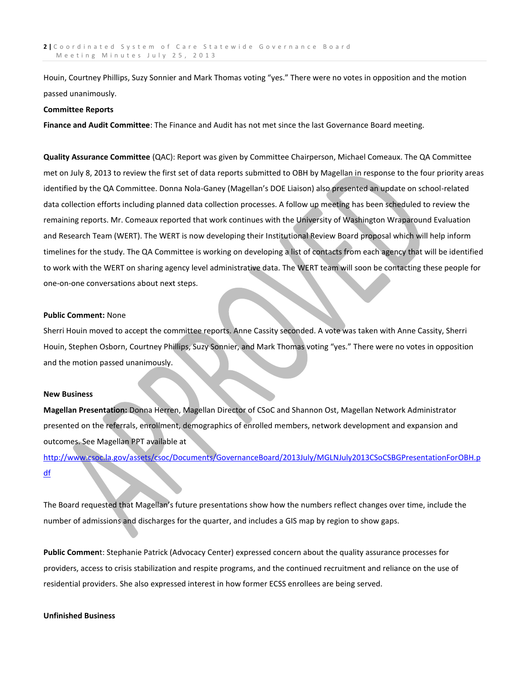Houin, Courtney Phillips, Suzy Sonnier and Mark Thomas voting "yes." There were no votes in opposition and the motion passed unanimously.

## **Committee Reports**

**Finance and Audit Committee**: The Finance and Audit has not met since the last Governance Board meeting.

**Quality Assurance Committee** (QAC): Report was given by Committee Chairperson, Michael Comeaux. The QA Committee met on July 8, 2013 to review the first set of data reports submitted to OBH by Magellan in response to the four priority areas identified by the QA Committee. Donna Nola-Ganey (Magellan's DOE Liaison) also presented an update on school-related data collection efforts including planned data collection processes. A follow up meeting has been scheduled to review the remaining reports. Mr. Comeaux reported that work continues with the University of Washington Wraparound Evaluation and Research Team (WERT). The WERT is now developing their Institutional Review Board proposal which will help inform timelines for the study. The QA Committee is working on developing a list of contacts from each agency that will be identified to work with the WERT on sharing agency level administrative data. The WERT team will soon be contacting these people for one-on-one conversations about next steps.

### **Public Comment:** None

Sherri Houin moved to accept the committee reports. Anne Cassity seconded. A vote was taken with Anne Cassity, Sherri Houin, Stephen Osborn, Courtney Phillips, Suzy Sonnier, and Mark Thomas voting "yes." There were no votes in opposition and the motion passed unanimously.

#### **New Business**

**Magellan Presentation:** Donna Herren, Magellan Director of CSoC and Shannon Ost, Magellan Network Administrator presented on the referrals, enrollment, demographics of enrolled members, network development and expansion and outcomes. See Magellan PPT available at

[http://www.csoc.la.gov/assets/csoc/Documents/GovernanceBoard/2013July/MGLNJuly2013CSoCSBGPresentationForOBH.p](http://www.csoc.la.gov/assets/csoc/Documents/GovernanceBoard/2013July/MGLNJuly2013CSoCSBGPresentationForOBH.pdf) [df](http://www.csoc.la.gov/assets/csoc/Documents/GovernanceBoard/2013July/MGLNJuly2013CSoCSBGPresentationForOBH.pdf)

The Board requested that Magellan's future presentations show how the numbers reflect changes over time, include the number of admissions and discharges for the quarter, and includes a GIS map by region to show gaps.

**Public Commen**t: Stephanie Patrick (Advocacy Center) expressed concern about the quality assurance processes for providers, access to crisis stabilization and respite programs, and the continued recruitment and reliance on the use of residential providers. She also expressed interest in how former ECSS enrollees are being served.

### **Unfinished Business**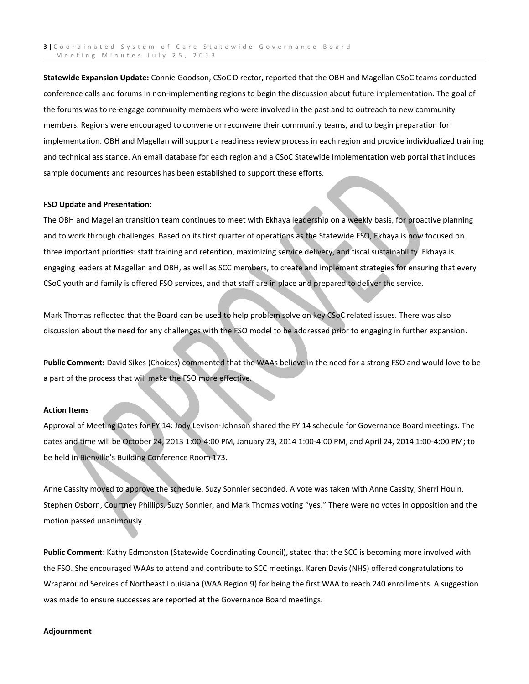**Statewide Expansion Update:** Connie Goodson, CSoC Director, reported that the OBH and Magellan CSoC teams conducted conference calls and forums in non-implementing regions to begin the discussion about future implementation. The goal of the forums was to re-engage community members who were involved in the past and to outreach to new community members. Regions were encouraged to convene or reconvene their community teams, and to begin preparation for implementation. OBH and Magellan will support a readiness review process in each region and provide individualized training and technical assistance. An email database for each region and a CSoC Statewide Implementation web portal that includes sample documents and resources has been established to support these efforts.

### **FSO Update and Presentation:**

The OBH and Magellan transition team continues to meet with Ekhaya leadership on a weekly basis, for proactive planning and to work through challenges. Based on its first quarter of operations as the Statewide FSO, Ekhaya is now focused on three important priorities: staff training and retention, maximizing service delivery, and fiscal sustainability. Ekhaya is engaging leaders at Magellan and OBH, as well as SCC members, to create and implement strategies for ensuring that every CSoC youth and family is offered FSO services, and that staff are in place and prepared to deliver the service.

Mark Thomas reflected that the Board can be used to help problem solve on key CSoC related issues. There was also discussion about the need for any challenges with the FSO model to be addressed prior to engaging in further expansion.

**Public Comment:** David Sikes (Choices) commented that the WAAs believe in the need for a strong FSO and would love to be a part of the process that will make the FSO more effective.

#### **Action Items**

Approval of Meeting Dates for FY 14: Jody Levison-Johnson shared the FY 14 schedule for Governance Board meetings. The dates and time will be October 24, 2013 1:00-4:00 PM, January 23, 2014 1:00-4:00 PM, and April 24, 2014 1:00-4:00 PM; to be held in Bienville's Building Conference Room 173.

Anne Cassity moved to approve the schedule. Suzy Sonnier seconded. A vote was taken with Anne Cassity, Sherri Houin, Stephen Osborn, Courtney Phillips, Suzy Sonnier, and Mark Thomas voting "yes." There were no votes in opposition and the motion passed unanimously.

**Public Comment**: Kathy Edmonston (Statewide Coordinating Council), stated that the SCC is becoming more involved with the FSO. She encouraged WAAs to attend and contribute to SCC meetings. Karen Davis (NHS) offered congratulations to Wraparound Services of Northeast Louisiana (WAA Region 9) for being the first WAA to reach 240 enrollments. A suggestion was made to ensure successes are reported at the Governance Board meetings.

#### **Adjournment**